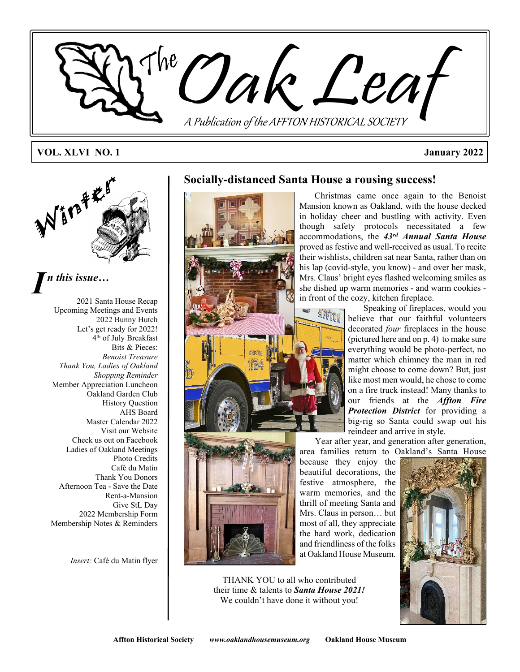

#### **VOL. XLVI NO. 1 January 2022**



# *I n this issue…*

2021 Santa House Recap Upcoming Meetings and Events 2022 Bunny Hutch Let's get ready for 2022! 4 th of July Breakfast Bits & Pieces: *Benoist Treasure Thank You, Ladies of Oakland Shopping Reminder* Member Appreciation Luncheon Oakland Garden Club History Question AHS Board Master Calendar 2022 Visit our Website Check us out on Facebook Ladies of Oakland Meetings Photo Credits Café du Matin Thank You Donors Afternoon Tea - Save the Date Rent-a-Mansion Give StL Day 2022 Membership Form Membership Notes & Reminders

*Insert:* Café du Matin flyer

### **Socially-distanced Santa House a rousing success!**





Christmas came once again to the Benoist Mansion known as Oakland, with the house decked in holiday cheer and bustling with activity. Even though safety protocols necessitated a few accommodations, the *43rd Annual Santa House* proved as festive and well-received as usual. To recite their wishlists, children sat near Santa, rather than on his lap (covid-style, you know) - and over her mask, Mrs. Claus' bright eyes flashed welcoming smiles as she dished up warm memories - and warm cookies in front of the cozy, kitchen fireplace.

Speaking of fireplaces, would you believe that our faithful volunteers decorated *four* fireplaces in the house (pictured here and on p. 4) to make sure everything would be photo-perfect, no matter which chimney the man in red might choose to come down? But, just like most men would, he chose to come on a fire truck instead! Many thanks to our friends at the *Affton Fire Protection District* for providing a big-rig so Santa could swap out his reindeer and arrive in style.

Year after year, and generation after generation, area families return to Oakland's Santa House

because they enjoy the beautiful decorations, the festive atmosphere, the warm memories, and the thrill of meeting Santa and Mrs. Claus in person… but most of all, they appreciate the hard work, dedication and friendliness of the folks at Oakland House Museum.



THANK YOU to all who contributed their time & talents to *Santa House 2021!* We couldn't have done it without you!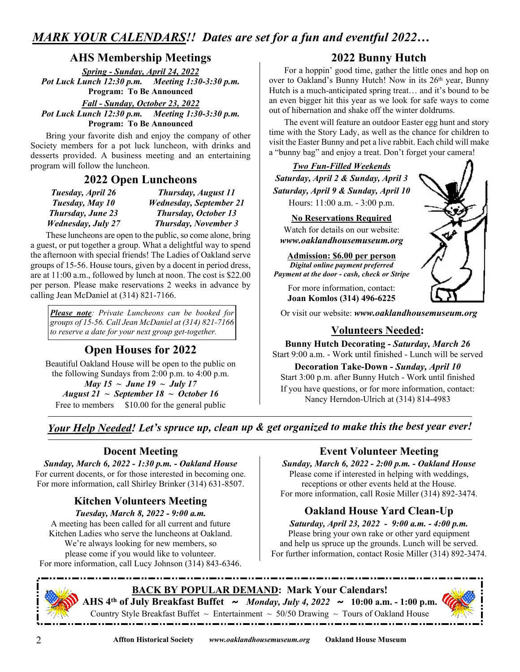# *MARK YOUR CALENDARS!! Dates are set for a fun and eventful 2022…*

## **AHS Membership Meetings**

*Spring - Sunday, April 24, 2022 Pot Luck Lunch 12:30 p.m. Meeting 1:30-3:30 p.m.* **Program: To Be Announced**

*Fall - Sunday, October 23, 2022*

*Pot Luck Lunch 12:30 p.m. Meeting 1:30-3:30 p.m.* **Program: To Be Announced**

Bring your favorite dish and enjoy the company of other Society members for a pot luck luncheon, with drinks and desserts provided. A business meeting and an entertaining program will follow the luncheon.

#### **2022 Open Luncheons**

| Tuesday, April 26          | Thursday, August 11            |
|----------------------------|--------------------------------|
| Tuesday, May 10            | <b>Wednesday, September 21</b> |
| Thursday, June 23          | <b>Thursday, October 13</b>    |
| <b>Wednesday</b> , July 27 | <b>Thursday, November 3</b>    |

These luncheons are open to the public, so come alone, bring a guest, or put together a group. What a delightful way to spend the afternoon with special friends! The Ladies of Oakland serve groups of 15-56. House tours, given by a docent in period dress, are at 11:00 a.m., followed by lunch at noon. The cost is \$22.00 per person. Please make reservations 2 weeks in advance by calling Jean McDaniel at (314) 821-7166.

*Please note: Private Luncheons can be booked for groups of 15-56. Call Jean McDaniel at (314) 821-7166 to reserve a date for your next group get-together.*  $\vert$   $\vert$  **Volunteers Needed:** 

# **Open Houses for 2022**

Beautiful Oakland House will be open to the public on the following Sundays from 2:00 p.m. to 4:00 p.m. *May 15 ~ June 19 ~ July 17*

*August 21 ~ September 18 ~ October 16* Free to members \$10.00 for the general public

# **2022 Bunny Hutch**

For a hoppin' good time, gather the little ones and hop on over to Oakland's Bunny Hutch! Now in its 26<sup>th</sup> year, Bunny Hutch is a much-anticipated spring treat… and it's bound to be an even bigger hit this year as we look for safe ways to come out of hibernation and shake off the winter doldrums.

The event will feature an outdoor Easter egg hunt and story time with the Story Lady, as well as the chance for children to visit the Easter Bunny and pet a live rabbit. Each child will make a "bunny bag" and enjoy a treat. Don't forget your camera!

# *Two Fun-Filled Weekends Saturday, April 2 & Sunday, April 3 Saturday, April 9 & Sunday, April 10*

Hours: 11:00 a.m. - 3:00 p.m.

#### **No Reservations Required**

Watch for details on our website: *www.oaklandhousemuseum.org*

#### **Admission: \$6.00 per person**

*Digital online payment preferred Payment at the door - cash, check or Stripe*

For more information, contact: **Joan Komlos (314) 496-6225**

Or visit our website: *www.oaklandhousemuseum.org*

**Bunny Hutch Decorating -** *Saturday, March 26* Start 9:00 a.m. - Work until finished - Lunch will be served

**Decoration Take-Down -** *Sunday, April 10* Start 3:00 p.m. after Bunny Hutch - Work until finished If you have questions, or for more information, contact: Nancy Herndon-Ulrich at (314) 814-4983

*Your Help Needed! Let's spruce up, clean up & get organized to make this the best year ever!*

### **Docent Meeting**

*Sunday, March 6, 2022 - 1:30 p.m. - Oakland House* For current docents, or for those interested in becoming one. For more information, call Shirley Brinker (314) 631-8507.

# **Kitchen Volunteers Meeting**

*Tuesday, March 8, 2022 - 9:00 a.m.* A meeting has been called for all current and future Kitchen Ladies who serve the luncheons at Oakland. We're always looking for new members, so please come if you would like to volunteer. For more information, call Lucy Johnson (314) 843-6346.

# **Event Volunteer Meeting**

*Sunday, March 6, 2022 - 2:00 p.m. - Oakland House* Please come if interested in helping with weddings, receptions or other events held at the House. For more information, call Rosie Miller (314) 892-3474.

# **Oakland House Yard Clean-Up**

*Saturday, April 23, 2022 - 9:00 a.m. - 4:00 p.m.* Please bring your own rake or other yard equipment and help us spruce up the grounds. Lunch will be served. For further information, contact Rosie Miller (314) 892-3474.



#### **BACK BY POPULAR DEMAND: Mark Your Calendars! AHS 4th of July Breakfast Buffet ~** *Monday, July 4, 2022* **~ 10:00 a.m. - 1:00 p.m.** Country Style Breakfast Buffet  $\sim$  Entertainment  $\sim$  50/50 Drawing  $\sim$  Tours of Oakland House



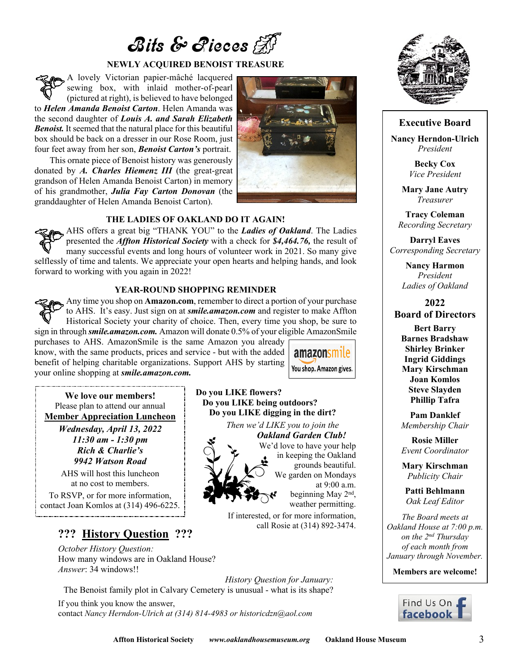# $B$ its & Rieces

#### **NEWLY ACQUIRED BENOIST TREASURE**

A lovely Victorian papier-mâché lacquered sewing box, with inlaid mother-of-pearl (pictured at right), is believed to have belonged to *Helen Amanda Benoist Carton*. Helen Amanda was the second daughter of *Louis A. and Sarah Elizabeth Benoist.* It seemed that the natural place for this beautiful box should be back on a dresser in our Rose Room, just four feet away from her son, *Benoist Carton's* portrait.

This ornate piece of Benoist history was generously donated by *A. Charles Hiemenz III* (the great-great grandson of Helen Amanda Benoist Carton) in memory of his grandmother, *Julia Fay Carton Donovan* (the granddaughter of Helen Amanda Benoist Carton).



#### **THE LADIES OF OAKLAND DO IT AGAIN!**

AHS offers a great big "THANK YOU" to the *Ladies of Oakland*. The Ladies presented the *Affton Historical Society* with a check for *\$4,464.76,* the result of many successful events and long hours of volunteer work in 2021. So many give selflessly of time and talents. We appreciate your open hearts and helping hands, and look forward to working with you again in 2022!

#### **YEAR-ROUND SHOPPING REMINDER**

Any time you shop on **Amazon.com**, remember to direct a portion of your purchase to AHS. It's easy. Just sign on at *smile.amazon.com* and register to make Affton Historical Society your charity of choice. Then, every time you shop, be sure to sign in through *smile.amazon.com.* Amazon will donate 0.5% of your eligible AmazonSmile

**Do you LIKE flowers?**

 **Do you LIKE being outdoors? Do you LIKE digging in the dirt?** *Then we'd LIKE you to join the*

purchases to AHS. AmazonSmile is the same Amazon you already know, with the same products, prices and service - but with the added benefit of helping charitable organizations. Support AHS by starting your online shopping at *smile.amazon.com.*



at 9:00 a.m. beginning May 2nd , weather permitting.

*Oakland Garden Club!* We'd love to have your help in keeping the Oakland grounds beautiful. We garden on Mondays

If interested, or for more information,

call Rosie at (314) 892-3474.

**We love our members!** Please plan to attend our annual **Member Appreciation Luncheon**

> *Wednesday, April 13, 2022 11:30 am - 1:30 pm Rich & Charlie's 9942 Watson Road*

AHS will host this luncheon at no cost to members.

To RSVP, or for more information, contact Joan Komlos at (314) 496-6225.

# **??? History Question ???**

*October History Question:* How many windows are in Oakland House? *Answer*: 34 windows!!

*History Question for January:* The Benoist family plot in Calvary Cemetery is unusual - what is its shape?

If you think you know the answer, contact *Nancy Herndon-Ulrich at (314) 814-4983 or historicdzn@aol.com*



#### **Executive Board**

**Nancy Herndon-Ulrich** *President*

> **Becky Cox** *Vice President*

**Mary Jane Autry** *Treasurer*

**Tracy Coleman** *Recording Secretary*

**Darryl Eaves** *Corresponding Secretary*

> **Nancy Harmon** *President Ladies of Oakland*

**2022 Board of Directors**

**Bert Barry Barnes Bradshaw Shirley Brinker Ingrid Giddings Mary Kirschman Joan Komlos Steve Slayden Phillip Tafra**

**Pam Danklef** *Membership Chair*

**Rosie Miller** *Event Coordinator*

**Mary Kirschman** *Publicity Chair*

**Patti Behlmann** *Oak Leaf Editor*

*The Board meets at Oakland House at 7:00 p.m. on the 2nd Thursday of each month from January through November.*

**Members are welcome!**

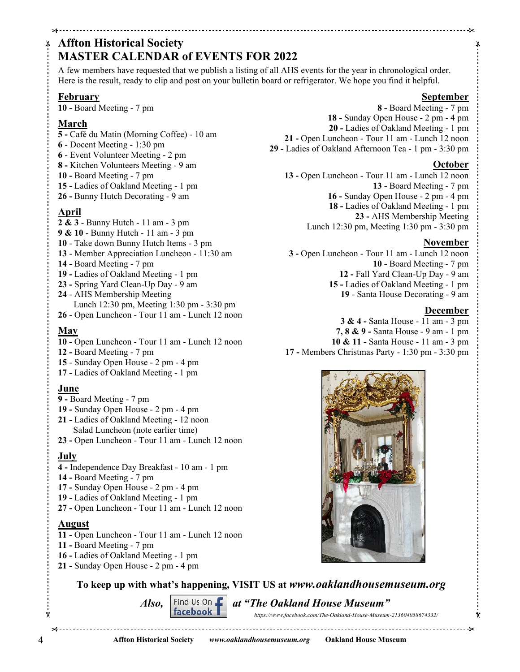# **Affton Historical Society MASTER CALENDAR of EVENTS FOR 2022**

A few members have requested that we publish a listing of all AHS events for the year in chronological order. Here is the result, ready to clip and post on your bulletin board or refrigerator. We hope you find it helpful.

#### **February**

**10 -** Board Meeting - 7 pm

#### **March**

χ

- **5 -** Café du Matin (Morning Coffee) 10 am
- **6** Docent Meeting 1:30 pm
- **6** Event Volunteer Meeting 2 pm
- **8 -** Kitchen Volunteers Meeting 9 am
- **10 -** Board Meeting 7 pm
- **15 -** Ladies of Oakland Meeting 1 pm
- **26 -** Bunny Hutch Decorating 9 am

### **April**

- **2 & 3** Bunny Hutch 11 am 3 pm
- **9 & 10** Bunny Hutch 11 am 3 pm
- **10** Take down Bunny Hutch Items 3 pm
- **13** Member Appreciation Luncheon 11:30 am
- **14 -** Board Meeting 7 pm
- **19 -** Ladies of Oakland Meeting 1 pm
- **23 -** Spring Yard Clean-Up Day 9 am
- **24** AHS Membership Meeting Lunch 12:30 pm, Meeting 1:30 pm - 3:30 pm **26** - Open Luncheon - Tour 11 am - Lunch 12 noon

#### **May**

- **10 -** Open Luncheon Tour 11 am Lunch 12 noon
- **12 -** Board Meeting 7 pm
- **15** Sunday Open House 2 pm 4 pm
- **17 -** Ladies of Oakland Meeting 1 pm

#### **June**

- **9 -** Board Meeting 7 pm
- **19 -** Sunday Open House 2 pm 4 pm
- **21 -** Ladies of Oakland Meeting 12 noon Salad Luncheon (note earlier time)
- **23 -** Open Luncheon Tour 11 am Lunch 12 noon

### **July**

- **4 -** Independence Day Breakfast 10 am 1 pm
- **14 -** Board Meeting 7 pm
- **17 -** Sunday Open House 2 pm 4 pm
- **19 -** Ladies of Oakland Meeting 1 pm
- **27 -** Open Luncheon Tour 11 am Lunch 12 noon

#### **August**

- **11 -** Open Luncheon Tour 11 am Lunch 12 noon
- **11 -** Board Meeting 7 pm
- **16 -** Ladies of Oakland Meeting 1 pm
- **21 -** Sunday Open House 2 pm 4 pm



#### **October**

**13 -** Open Luncheon - Tour 11 am - Lunch 12 noon **13 -** Board Meeting - 7 pm **16 -** Sunday Open House - 2 pm - 4 pm **18 -** Ladies of Oakland Meeting - 1 pm **23 -** AHS Membership Meeting Lunch 12:30 pm, Meeting 1:30 pm - 3:30 pm

#### **November**

 **3 -** Open Luncheon - Tour 11 am - Lunch 12 noon **10 -** Board Meeting - 7 pm **12 -** Fall Yard Clean-Up Day - 9 am **15 -** Ladies of Oakland Meeting - 1 pm **19** - Santa House Decorating - 9 am

#### **December**

 $\bar{\mathbf{x}}$ 

**3 & 4 -** Santa House - 11 am - 3 pm

- **7, 8 & 9 -** Santa House 9 am 1 pm
- **10 & 11 -** Santa House 11 am 3 pm
- **17 -** Members Christmas Party 1:30 pm 3:30 pm



**To keep up with what's happening, VISIT US at** *www.oaklandhousemuseum.org*

*Also,*  $\begin{bmatrix} \text{Find } \text{Us } \text{On} \\ \text{facebook} \end{bmatrix}$  at "The Oakland House Museum"

 *https://www.facebook.com/The-Oakland-House-Museum-213604058674332/*

X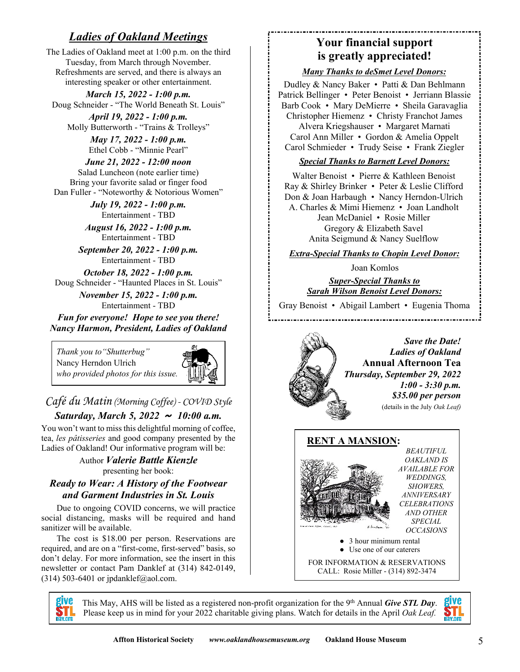# *Ladies of Oakland Meetings*

The Ladies of Oakland meet at 1:00 p.m. on the third Tuesday, from March through November. Refreshments are served, and there is always an interesting speaker or other entertainment.

*March 15, 2022 - 1:00 p.m.* Doug Schneider - "The World Beneath St. Louis"

*April 19, 2022 - 1:00 p.m.* Molly Butterworth - "Trains & Trolleys"

> *May 17, 2022 - 1:00 p.m.* Ethel Cobb - "Minnie Pearl"

*June 21, 2022 - 12:00 noon* Salad Luncheon (note earlier time) Bring your favorite salad or finger food Dan Fuller - "Noteworthy & Notorious Women"

> *July 19, 2022 - 1:00 p.m.* Entertainment - TBD

*August 16, 2022 - 1:00 p.m.* Entertainment - TBD

*September 20, 2022 - 1:00 p.m.* Entertainment - TBD

*October 18, 2022 - 1:00 p.m.* Doug Schneider - "Haunted Places in St. Louis"

> *November 15, 2022 - 1:00 p.m.* Entertainment - TBD

*Fun for everyone! Hope to see you there! Nancy Harmon, President, Ladies of Oakland*

*Thank you to"Shutterbug"* Nancy Herndon Ulrich *who provided photos for this issue.*



*Café du Matin (Morning Coffee) - COVID Style*

# *Saturday, March 5, 2022 ~ 10:00 a.m.*

You won't want to miss this delightful morning of coffee, tea, *les pâtisseries* and good company presented by the Ladies of Oakland! Our informative program will be:

> Author *Valerie Battle Kienzle* presenting her book:

#### *Ready to Wear: A History of the Footwear and Garment Industries in St. Louis*

Due to ongoing COVID concerns, we will practice social distancing, masks will be required and hand sanitizer will be available.

The cost is \$18.00 per person. Reservations are required, and are on a "first-come, first-served" basis, so don't delay. For more information, see the insert in this newsletter or contact Pam Danklef at (314) 842-0149, (314) 503-6401 or jpdanklef@aol.com.

# **Your financial support is greatly appreciated!**

#### *Many Thanks to deSmet Level Donors:*

Dudley & Nancy Baker • Patti & Dan Behlmann Patrick Bellinger • Peter Benoist • Jerriann Blassie Barb Cook • Mary DeMierre • Sheila Garavaglia Christopher Hiemenz • Christy Franchot James Alvera Kriegshauser • Margaret Marnati Carol Ann Miller • Gordon & Amelia Oppelt Carol Schmieder • Trudy Seise • Frank Ziegler

#### *Special Thanks to Barnett Level Donors:*

Walter Benoist • Pierre & Kathleen Benoist Ray & Shirley Brinker • Peter & Leslie Clifford Don & Joan Harbaugh • Nancy Herndon-Ulrich A. Charles & Mimi Hiemenz • Joan Landholt Jean McDaniel • Rosie Miller Gregory & Elizabeth Savel Anita Seigmund & Nancy Suelflow

*Extra-Special Thanks to Chopin Level Donor:*

Joan Komlos

*Super-Special Thanks to Sarah Wilson Benoist Level Donors:*

Gray Benoist • Abigail Lambert • Eugenia Thoma





This May, AHS will be listed as a registered non-profit organization for the 9th Annual *Give STL Day*. Please keep us in mind for your 2022 charitable giving plans. Watch for details in the April *Oak Leaf.*